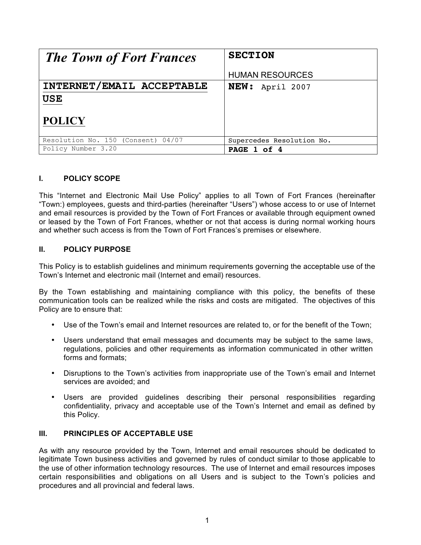| <b>The Town of Fort Frances</b>                          | <b>SECTION</b>            |
|----------------------------------------------------------|---------------------------|
|                                                          | <b>HUMAN RESOURCES</b>    |
| INTERNET/EMAIL ACCEPTABLE<br><b>USE</b><br><b>POLICY</b> | NEW: April 2007           |
| Resolution No. 150 (Consent) 04/07                       | Supercedes Resolution No. |
| Policy Number 3.20                                       | PAGE 1 of 4               |

# **I. POLICY SCOPE**

This "Internet and Electronic Mail Use Policy" applies to all Town of Fort Frances (hereinafter "Town:) employees, guests and third-parties (hereinafter "Users") whose access to or use of Internet and email resources is provided by the Town of Fort Frances or available through equipment owned or leased by the Town of Fort Frances, whether or not that access is during normal working hours and whether such access is from the Town of Fort Frances's premises or elsewhere.

## **II. POLICY PURPOSE**

This Policy is to establish guidelines and minimum requirements governing the acceptable use of the Town's Internet and electronic mail (Internet and email) resources.

By the Town establishing and maintaining compliance with this policy, the benefits of these communication tools can be realized while the risks and costs are mitigated. The objectives of this Policy are to ensure that:

- Use of the Town's email and Internet resources are related to, or for the benefit of the Town;
- Users understand that email messages and documents may be subject to the same laws, regulations, policies and other requirements as information communicated in other written forms and formats;
- Disruptions to the Town's activities from inappropriate use of the Town's email and Internet services are avoided; and
- Users are provided guidelines describing their personal responsibilities regarding confidentiality, privacy and acceptable use of the Town's Internet and email as defined by this Policy.

### **III. PRINCIPLES OF ACCEPTABLE USE**

As with any resource provided by the Town, Internet and email resources should be dedicated to legitimate Town business activities and governed by rules of conduct similar to those applicable to the use of other information technology resources. The use of Internet and email resources imposes certain responsibilities and obligations on all Users and is subject to the Town's policies and procedures and all provincial and federal laws.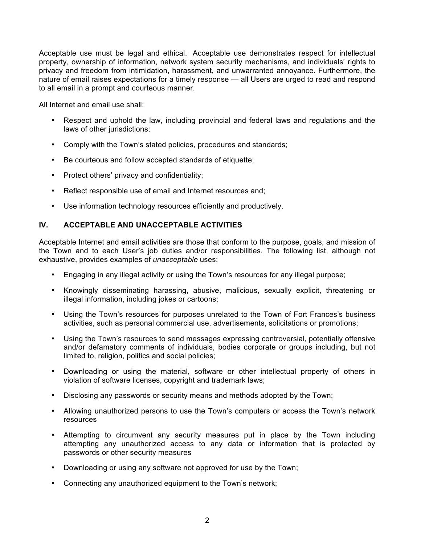Acceptable use must be legal and ethical. Acceptable use demonstrates respect for intellectual property, ownership of information, network system security mechanisms, and individuals' rights to privacy and freedom from intimidation, harassment, and unwarranted annoyance. Furthermore, the nature of email raises expectations for a timely response — all Users are urged to read and respond to all email in a prompt and courteous manner.

All Internet and email use shall:

- Respect and uphold the law, including provincial and federal laws and regulations and the laws of other jurisdictions;
- Comply with the Town's stated policies, procedures and standards;
- Be courteous and follow accepted standards of etiquette;
- Protect others' privacy and confidentiality;
- Reflect responsible use of email and Internet resources and;
- Use information technology resources efficiently and productively.

## **IV. ACCEPTABLE AND UNACCEPTABLE ACTIVITIES**

Acceptable Internet and email activities are those that conform to the purpose, goals, and mission of the Town and to each User's job duties and/or responsibilities. The following list, although not exhaustive, provides examples of *unacceptable* uses:

- Engaging in any illegal activity or using the Town's resources for any illegal purpose;
- Knowingly disseminating harassing, abusive, malicious, sexually explicit, threatening or illegal information, including jokes or cartoons;
- Using the Town's resources for purposes unrelated to the Town of Fort Frances's business activities, such as personal commercial use, advertisements, solicitations or promotions;
- Using the Town's resources to send messages expressing controversial, potentially offensive and/or defamatory comments of individuals, bodies corporate or groups including, but not limited to, religion, politics and social policies;
- Downloading or using the material, software or other intellectual property of others in violation of software licenses, copyright and trademark laws;
- Disclosing any passwords or security means and methods adopted by the Town;
- Allowing unauthorized persons to use the Town's computers or access the Town's network resources
- Attempting to circumvent any security measures put in place by the Town including attempting any unauthorized access to any data or information that is protected by passwords or other security measures
- Downloading or using any software not approved for use by the Town;
- Connecting any unauthorized equipment to the Town's network;